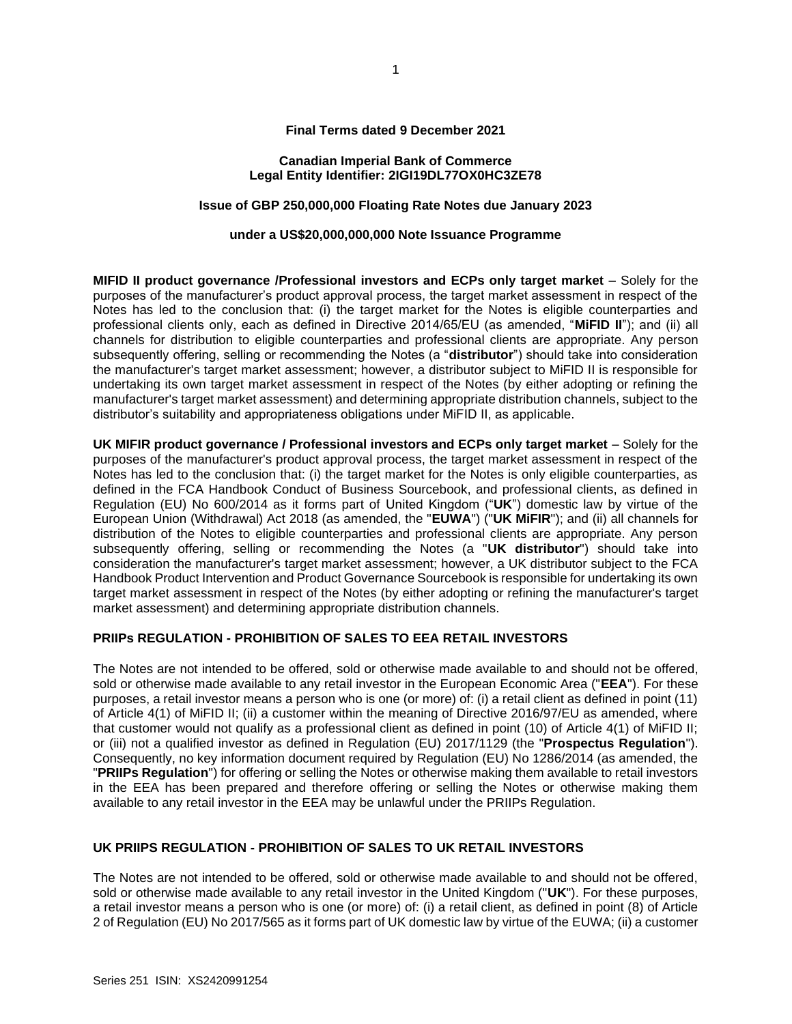#### **Final Terms dated 9 December 2021**

#### **Canadian Imperial Bank of Commerce Legal Entity Identifier: 2IGI19DL77OX0HC3ZE78**

# **Issue of GBP 250,000,000 Floating Rate Notes due January 2023**

#### **under a US\$20,000,000,000 Note Issuance Programme**

**MIFID II product governance /Professional investors and ECPs only target market** – Solely for the purposes of the manufacturer's product approval process, the target market assessment in respect of the Notes has led to the conclusion that: (i) the target market for the Notes is eligible counterparties and professional clients only, each as defined in Directive 2014/65/EU (as amended, "**MiFID II**"); and (ii) all channels for distribution to eligible counterparties and professional clients are appropriate. Any person subsequently offering, selling or recommending the Notes (a "**distributor**") should take into consideration the manufacturer's target market assessment; however, a distributor subject to MiFID II is responsible for undertaking its own target market assessment in respect of the Notes (by either adopting or refining the manufacturer's target market assessment) and determining appropriate distribution channels, subject to the distributor's suitability and appropriateness obligations under MiFID II, as applicable.

**UK MIFIR product governance / Professional investors and ECPs only target market** – Solely for the purposes of the manufacturer's product approval process, the target market assessment in respect of the Notes has led to the conclusion that: (i) the target market for the Notes is only eligible counterparties, as defined in the FCA Handbook Conduct of Business Sourcebook, and professional clients, as defined in Regulation (EU) No 600/2014 as it forms part of United Kingdom ("**UK**") domestic law by virtue of the European Union (Withdrawal) Act 2018 (as amended, the "**EUWA**") ("**UK MiFIR**"); and (ii) all channels for distribution of the Notes to eligible counterparties and professional clients are appropriate. Any person subsequently offering, selling or recommending the Notes (a "**UK distributor**") should take into consideration the manufacturer's target market assessment; however, a UK distributor subject to the FCA Handbook Product Intervention and Product Governance Sourcebook is responsible for undertaking its own target market assessment in respect of the Notes (by either adopting or refining the manufacturer's target market assessment) and determining appropriate distribution channels.

#### **PRIIPs REGULATION - PROHIBITION OF SALES TO EEA RETAIL INVESTORS**

The Notes are not intended to be offered, sold or otherwise made available to and should not be offered, sold or otherwise made available to any retail investor in the European Economic Area ("**EEA**"). For these purposes, a retail investor means a person who is one (or more) of: (i) a retail client as defined in point (11) of Article 4(1) of MiFID II; (ii) a customer within the meaning of Directive 2016/97/EU as amended, where that customer would not qualify as a professional client as defined in point (10) of Article 4(1) of MiFID II; or (iii) not a qualified investor as defined in Regulation (EU) 2017/1129 (the "**Prospectus Regulation**"). Consequently, no key information document required by Regulation (EU) No 1286/2014 (as amended, the "**PRIIPs Regulation**") for offering or selling the Notes or otherwise making them available to retail investors in the EEA has been prepared and therefore offering or selling the Notes or otherwise making them available to any retail investor in the EEA may be unlawful under the PRIIPs Regulation.

# **UK PRIIPS REGULATION - PROHIBITION OF SALES TO UK RETAIL INVESTORS**

The Notes are not intended to be offered, sold or otherwise made available to and should not be offered, sold or otherwise made available to any retail investor in the United Kingdom ("**UK**"). For these purposes, a retail investor means a person who is one (or more) of: (i) a retail client, as defined in point (8) of Article 2 of Regulation (EU) No 2017/565 as it forms part of UK domestic law by virtue of the EUWA; (ii) a customer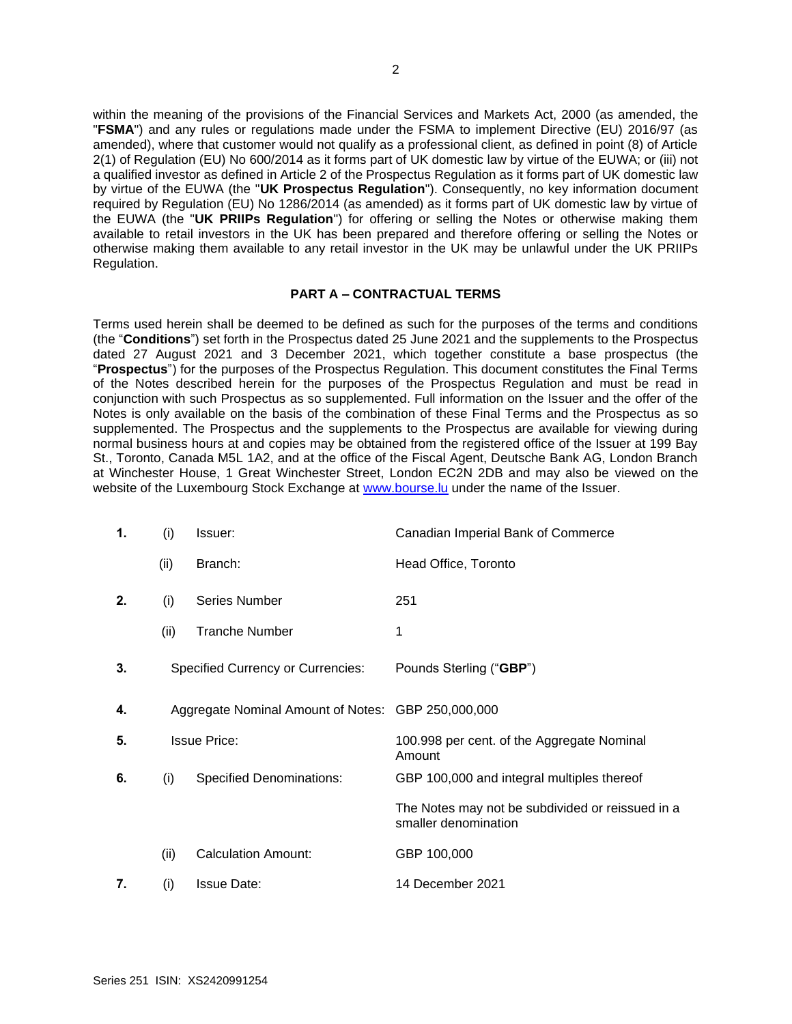within the meaning of the provisions of the Financial Services and Markets Act, 2000 (as amended, the "**FSMA**") and any rules or regulations made under the FSMA to implement Directive (EU) 2016/97 (as amended), where that customer would not qualify as a professional client, as defined in point (8) of Article 2(1) of Regulation (EU) No 600/2014 as it forms part of UK domestic law by virtue of the EUWA; or (iii) not a qualified investor as defined in Article 2 of the Prospectus Regulation as it forms part of UK domestic law by virtue of the EUWA (the "**UK Prospectus Regulation**"). Consequently, no key information document required by Regulation (EU) No 1286/2014 (as amended) as it forms part of UK domestic law by virtue of the EUWA (the "**UK PRIIPs Regulation**") for offering or selling the Notes or otherwise making them available to retail investors in the UK has been prepared and therefore offering or selling the Notes or otherwise making them available to any retail investor in the UK may be unlawful under the UK PRIIPs Regulation.

### **PART A – CONTRACTUAL TERMS**

Terms used herein shall be deemed to be defined as such for the purposes of the terms and conditions (the "**Conditions**") set forth in the Prospectus dated 25 June 2021 and the supplements to the Prospectus dated 27 August 2021 and 3 December 2021, which together constitute a base prospectus (the "**Prospectus**") for the purposes of the Prospectus Regulation. This document constitutes the Final Terms of the Notes described herein for the purposes of the Prospectus Regulation and must be read in conjunction with such Prospectus as so supplemented. Full information on the Issuer and the offer of the Notes is only available on the basis of the combination of these Final Terms and the Prospectus as so supplemented. The Prospectus and the supplements to the Prospectus are available for viewing during normal business hours at and copies may be obtained from the registered office of the Issuer at 199 Bay St., Toronto, Canada M5L 1A2, and at the office of the Fiscal Agent, Deutsche Bank AG, London Branch at Winchester House, 1 Great Winchester Street, London EC2N 2DB and may also be viewed on the website of the Luxembourg Stock Exchange at [www.bourse.lu](http://www.bourse.lu/) under the name of the Issuer.

| 1. | (i)  | Issuer:                                            | Canadian Imperial Bank of Commerce                                       |
|----|------|----------------------------------------------------|--------------------------------------------------------------------------|
|    | (ii) | Branch:                                            | Head Office, Toronto                                                     |
| 2. | (i)  | <b>Series Number</b>                               | 251                                                                      |
|    | (ii) | <b>Tranche Number</b>                              | 1                                                                        |
| 3. |      | <b>Specified Currency or Currencies:</b>           | Pounds Sterling ("GBP")                                                  |
| 4. |      | Aggregate Nominal Amount of Notes: GBP 250,000,000 |                                                                          |
| 5. |      | <b>Issue Price:</b>                                | 100.998 per cent. of the Aggregate Nominal<br>Amount                     |
| 6. | (i)  | <b>Specified Denominations:</b>                    | GBP 100,000 and integral multiples thereof                               |
|    |      |                                                    | The Notes may not be subdivided or reissued in a<br>smaller denomination |
|    | (ii) | <b>Calculation Amount:</b>                         | GBP 100,000                                                              |
| 7. | (i)  | <b>Issue Date:</b>                                 | 14 December 2021                                                         |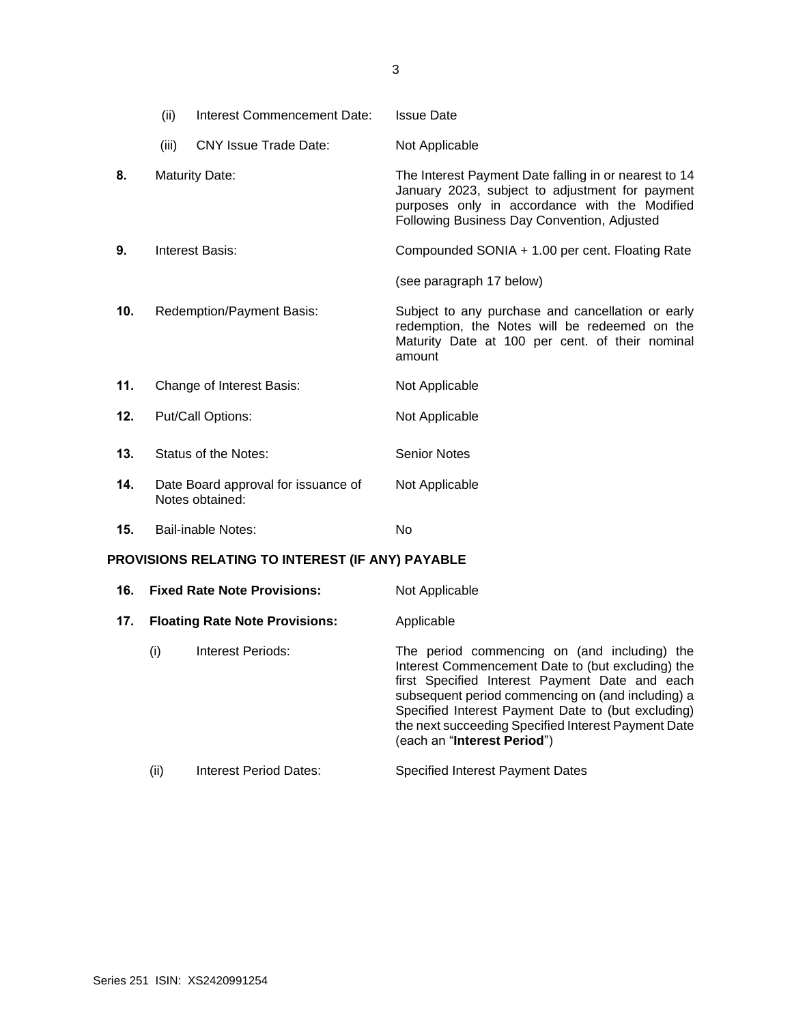|                                                  | (ii)  | Interest Commencement Date:                            | <b>Issue Date</b>                                                                                                                                                                                        |
|--------------------------------------------------|-------|--------------------------------------------------------|----------------------------------------------------------------------------------------------------------------------------------------------------------------------------------------------------------|
|                                                  | (iii) | <b>CNY Issue Trade Date:</b>                           | Not Applicable                                                                                                                                                                                           |
| 8.                                               |       | <b>Maturity Date:</b>                                  | The Interest Payment Date falling in or nearest to 14<br>January 2023, subject to adjustment for payment<br>purposes only in accordance with the Modified<br>Following Business Day Convention, Adjusted |
| 9.                                               |       | <b>Interest Basis:</b>                                 | Compounded SONIA + 1.00 per cent. Floating Rate                                                                                                                                                          |
|                                                  |       |                                                        | (see paragraph 17 below)                                                                                                                                                                                 |
| 10.                                              |       | Redemption/Payment Basis:                              | Subject to any purchase and cancellation or early<br>redemption, the Notes will be redeemed on the<br>Maturity Date at 100 per cent. of their nominal<br>amount                                          |
| 11.                                              |       | Change of Interest Basis:                              | Not Applicable                                                                                                                                                                                           |
| 12.                                              |       | Put/Call Options:                                      | Not Applicable                                                                                                                                                                                           |
| 13.                                              |       | Status of the Notes:                                   | <b>Senior Notes</b>                                                                                                                                                                                      |
| 14.                                              |       | Date Board approval for issuance of<br>Notes obtained: | Not Applicable                                                                                                                                                                                           |
| 15.                                              |       | <b>Bail-inable Notes:</b>                              | No                                                                                                                                                                                                       |
| PROVISIONS RELATING TO INTEREST (IF ANY) PAYABLE |       |                                                        |                                                                                                                                                                                                          |
| 16.                                              |       | <b>Fixed Rate Note Provisions:</b>                     | Not Applicable                                                                                                                                                                                           |

| 17. |      | <b>Floating Rate Note Provisions:</b> | Applicable                                                                                                                                                                                                                                                                                                                                           |
|-----|------|---------------------------------------|------------------------------------------------------------------------------------------------------------------------------------------------------------------------------------------------------------------------------------------------------------------------------------------------------------------------------------------------------|
|     |      |                                       |                                                                                                                                                                                                                                                                                                                                                      |
|     | (i)  | Interest Periods:                     | The period commencing on (and including) the<br>Interest Commencement Date to (but excluding) the<br>first Specified Interest Payment Date and each<br>subsequent period commencing on (and including) a<br>Specified Interest Payment Date to (but excluding)<br>the next succeeding Specified Interest Payment Date<br>(each an "Interest Period") |
|     | (ii) | Interest Period Dates:                | <b>Specified Interest Payment Dates</b>                                                                                                                                                                                                                                                                                                              |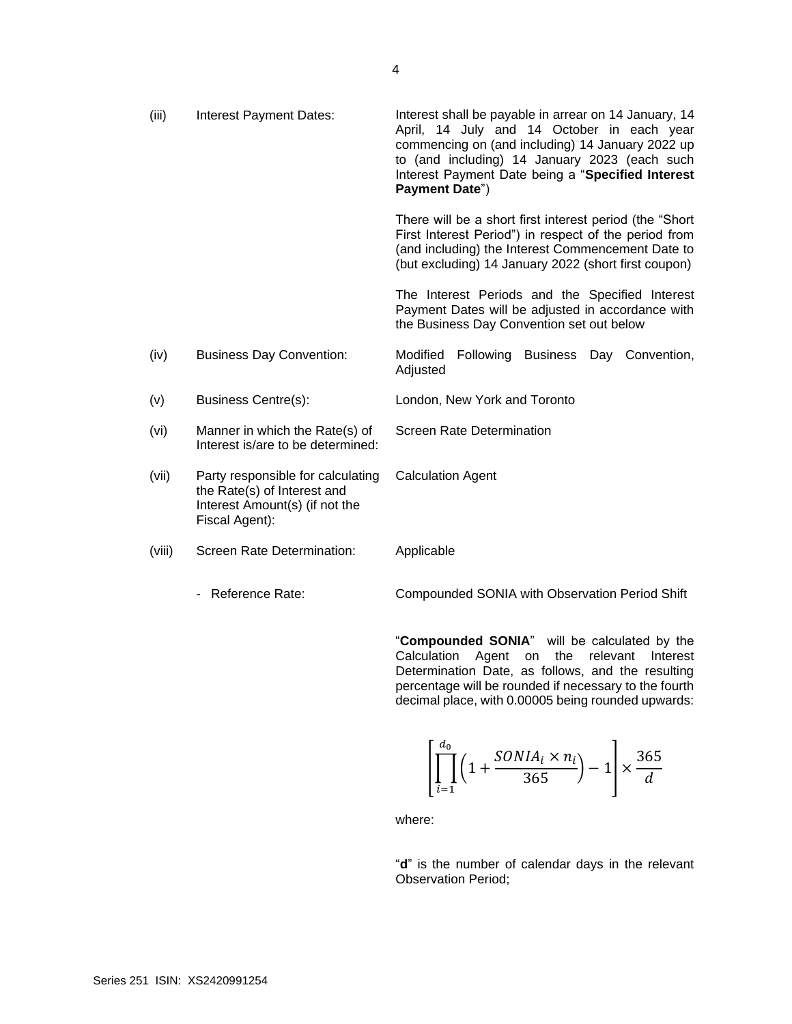| (iii)  | Interest Payment Dates:                                                                                              | Interest shall be payable in arrear on 14 January, 14<br>April, 14 July and 14 October in each year<br>commencing on (and including) 14 January 2022 up<br>to (and including) 14 January 2023 (each such<br>Interest Payment Date being a "Specified Interest<br>Payment Date") |
|--------|----------------------------------------------------------------------------------------------------------------------|---------------------------------------------------------------------------------------------------------------------------------------------------------------------------------------------------------------------------------------------------------------------------------|
|        |                                                                                                                      | There will be a short first interest period (the "Short"<br>First Interest Period") in respect of the period from<br>(and including) the Interest Commencement Date to<br>(but excluding) 14 January 2022 (short first coupon)                                                  |
|        |                                                                                                                      | The Interest Periods and the Specified Interest<br>Payment Dates will be adjusted in accordance with<br>the Business Day Convention set out below                                                                                                                               |
| (iv)   | <b>Business Day Convention:</b>                                                                                      | Modified<br>Following<br>Business<br>Day Convention,<br>Adjusted                                                                                                                                                                                                                |
| (v)    | <b>Business Centre(s):</b>                                                                                           | London, New York and Toronto                                                                                                                                                                                                                                                    |
| (vi)   | Manner in which the Rate(s) of<br>Interest is/are to be determined:                                                  | <b>Screen Rate Determination</b>                                                                                                                                                                                                                                                |
| (vii)  | Party responsible for calculating<br>the Rate(s) of Interest and<br>Interest Amount(s) (if not the<br>Fiscal Agent): | <b>Calculation Agent</b>                                                                                                                                                                                                                                                        |
| (viii) | Screen Rate Determination:                                                                                           | Applicable                                                                                                                                                                                                                                                                      |
|        | - Reference Rate:                                                                                                    | Compounded SONIA with Observation Period Shift                                                                                                                                                                                                                                  |

"**Compounded SONIA**" will be calculated by the Calculation Agent on the relevant Interest Determination Date, as follows, and the resulting percentage will be rounded if necessary to the fourth decimal place, with 0.00005 being rounded upwards:

$$
\left[\prod_{i=1}^{d_0} \left(1 + \frac{SONIA_i \times n_i}{365}\right) - 1\right] \times \frac{365}{d}
$$

where:

"**d**" is the number of calendar days in the relevant Observation Period;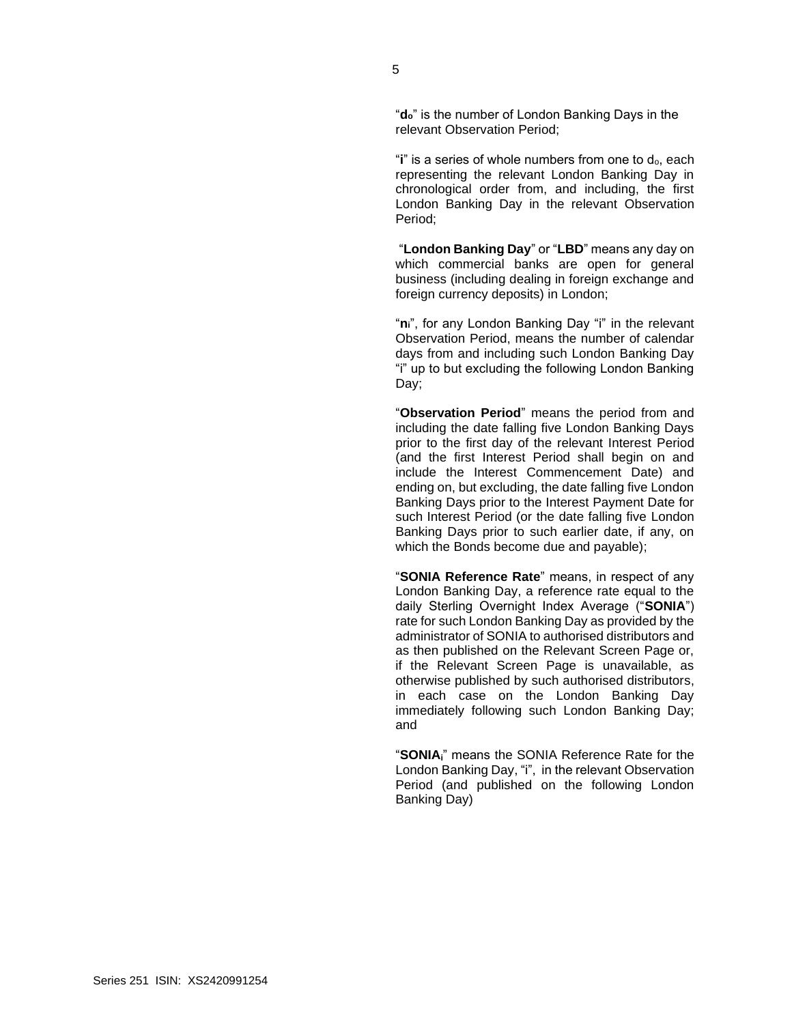"**do**" is the number of London Banking Days in the relevant Observation Period;

"**i**" is a series of whole numbers from one to  $d_0$ , each representing the relevant London Banking Day in chronological order from, and including, the first London Banking Day in the relevant Observation Period;

"**London Banking Day**" or "**LBD**" means any day on which commercial banks are open for general business (including dealing in foreign exchange and foreign currency deposits) in London;

"**ni**", for any London Banking Day "i" in the relevant Observation Period, means the number of calendar days from and including such London Banking Day "i" up to but excluding the following London Banking Day;

"**Observation Period**" means the period from and including the date falling five London Banking Days prior to the first day of the relevant Interest Period (and the first Interest Period shall begin on and include the Interest Commencement Date) and ending on, but excluding, the date falling five London Banking Days prior to the Interest Payment Date for such Interest Period (or the date falling five London Banking Days prior to such earlier date, if any, on which the Bonds become due and payable);

"**SONIA Reference Rate**" means, in respect of any London Banking Day, a reference rate equal to the daily Sterling Overnight Index Average ("**SONIA**") rate for such London Banking Day as provided by the administrator of SONIA to authorised distributors and as then published on the Relevant Screen Page or, if the Relevant Screen Page is unavailable, as otherwise published by such authorised distributors, in each case on the London Banking Day immediately following such London Banking Day; and

"**SONIAi**" means the SONIA Reference Rate for the London Banking Day, "i", in the relevant Observation Period (and published on the following London Banking Day)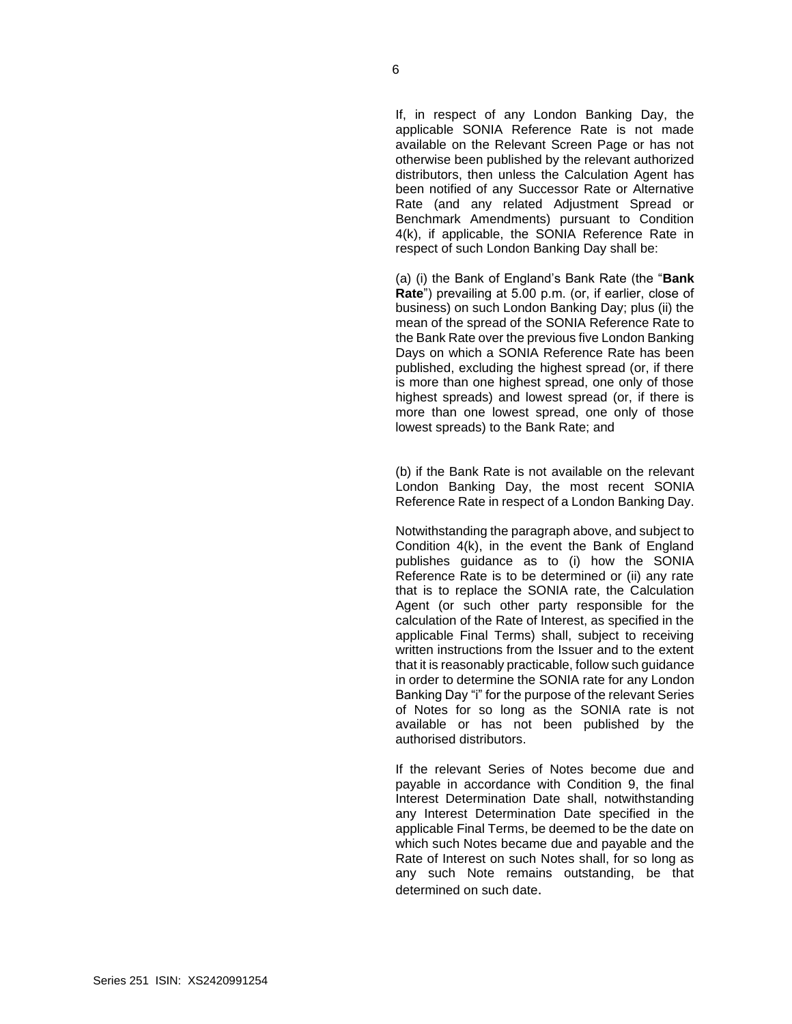If, in respect of any London Banking Day, the applicable SONIA Reference Rate is not made available on the Relevant Screen Page or has not otherwise been published by the relevant authorized distributors, then unless the Calculation Agent has been notified of any Successor Rate or Alternative Rate (and any related Adjustment Spread or Benchmark Amendments) pursuant to Condition 4(k), if applicable, the SONIA Reference Rate in respect of such London Banking Day shall be:

(a) (i) the Bank of England's Bank Rate (the "**Bank Rate**") prevailing at 5.00 p.m. (or, if earlier, close of business) on such London Banking Day; plus (ii) the mean of the spread of the SONIA Reference Rate to the Bank Rate over the previous five London Banking Days on which a SONIA Reference Rate has been published, excluding the highest spread (or, if there is more than one highest spread, one only of those highest spreads) and lowest spread (or, if there is more than one lowest spread, one only of those lowest spreads) to the Bank Rate; and

(b) if the Bank Rate is not available on the relevant London Banking Day, the most recent SONIA Reference Rate in respect of a London Banking Day.

Notwithstanding the paragraph above, and subject to Condition 4(k), in the event the Bank of England publishes guidance as to (i) how the SONIA Reference Rate is to be determined or (ii) any rate that is to replace the SONIA rate, the Calculation Agent (or such other party responsible for the calculation of the Rate of Interest, as specified in the applicable Final Terms) shall, subject to receiving written instructions from the Issuer and to the extent that it is reasonably practicable, follow such guidance in order to determine the SONIA rate for any London Banking Day "i" for the purpose of the relevant Series of Notes for so long as the SONIA rate is not available or has not been published by the authorised distributors.

If the relevant Series of Notes become due and payable in accordance with Condition 9, the final Interest Determination Date shall, notwithstanding any Interest Determination Date specified in the applicable Final Terms, be deemed to be the date on which such Notes became due and payable and the Rate of Interest on such Notes shall, for so long as any such Note remains outstanding, be that determined on such date.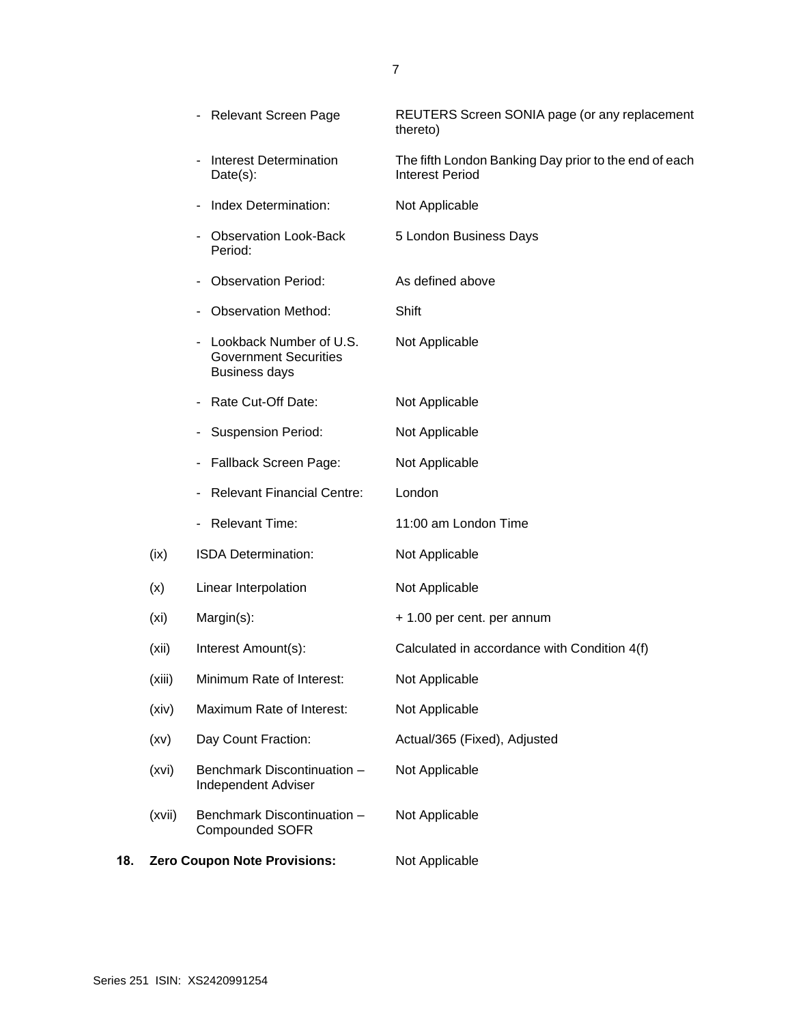|     |                   | - Relevant Screen Page                                                          | REUTERS Screen SONIA page (or any replacement<br>thereto)                       |
|-----|-------------------|---------------------------------------------------------------------------------|---------------------------------------------------------------------------------|
|     |                   | <b>Interest Determination</b><br>$Date(s)$ :                                    | The fifth London Banking Day prior to the end of each<br><b>Interest Period</b> |
|     |                   | Index Determination:                                                            | Not Applicable                                                                  |
|     |                   | <b>Observation Look-Back</b><br>Period:                                         | 5 London Business Days                                                          |
|     |                   | <b>Observation Period:</b>                                                      | As defined above                                                                |
|     |                   | <b>Observation Method:</b>                                                      | Shift                                                                           |
|     |                   | Lookback Number of U.S.<br><b>Government Securities</b><br><b>Business days</b> | Not Applicable                                                                  |
|     |                   | Rate Cut-Off Date:<br>-                                                         | Not Applicable                                                                  |
|     |                   | <b>Suspension Period:</b>                                                       | Not Applicable                                                                  |
|     |                   | Fallback Screen Page:                                                           | Not Applicable                                                                  |
|     |                   | <b>Relevant Financial Centre:</b>                                               | London                                                                          |
|     |                   | - Relevant Time:                                                                | 11:00 am London Time                                                            |
|     | (ix)              | ISDA Determination:                                                             | Not Applicable                                                                  |
|     | (x)               | Linear Interpolation                                                            | Not Applicable                                                                  |
|     | (x <sub>i</sub> ) | Margin(s):                                                                      | + 1.00 per cent. per annum                                                      |
|     | (xii)             | Interest Amount(s):                                                             | Calculated in accordance with Condition 4(f)                                    |
|     | (xiii)            | Minimum Rate of Interest:                                                       | Not Applicable                                                                  |
|     | (xiv)             | Maximum Rate of Interest:                                                       | Not Applicable                                                                  |
|     | (xv)              | Day Count Fraction:                                                             | Actual/365 (Fixed), Adjusted                                                    |
|     | (xvi)             | Benchmark Discontinuation -<br><b>Independent Adviser</b>                       | Not Applicable                                                                  |
|     | (xvii)            | Benchmark Discontinuation -<br><b>Compounded SOFR</b>                           | Not Applicable                                                                  |
| 18. |                   | <b>Zero Coupon Note Provisions:</b>                                             | Not Applicable                                                                  |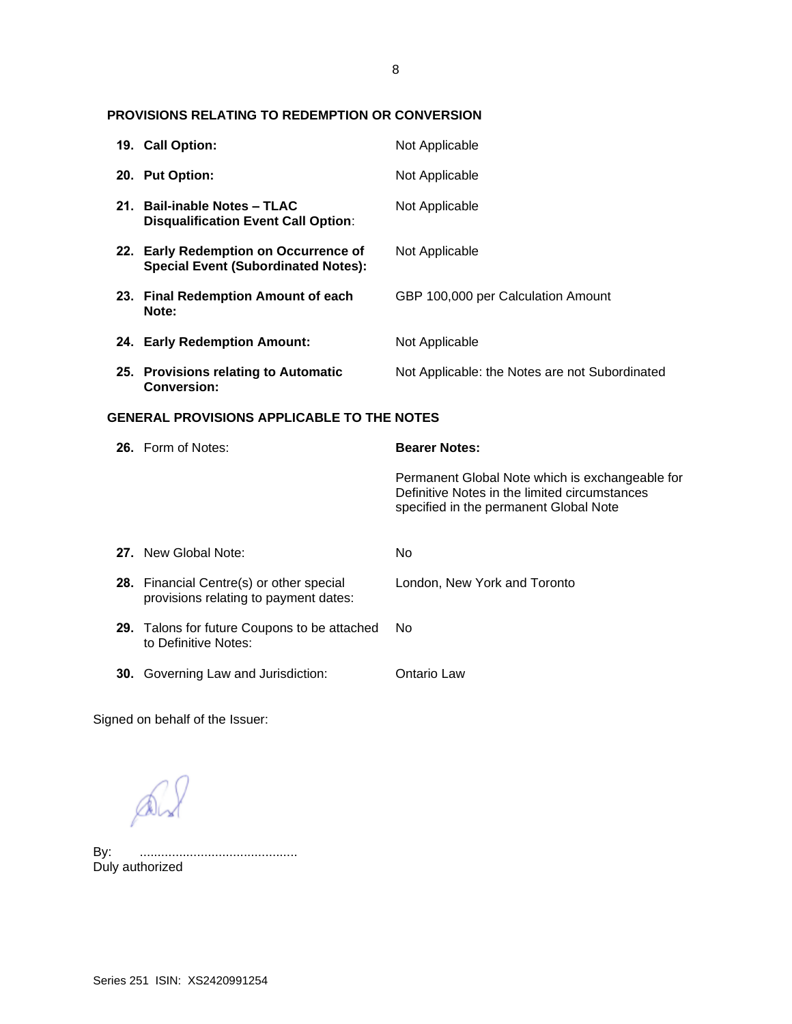# **PROVISIONS RELATING TO REDEMPTION OR CONVERSION**

|                                                   | 19. Call Option:                                                                    | Not Applicable                                                                                                                             |
|---------------------------------------------------|-------------------------------------------------------------------------------------|--------------------------------------------------------------------------------------------------------------------------------------------|
|                                                   | 20. Put Option:                                                                     | Not Applicable                                                                                                                             |
|                                                   | 21. Bail-inable Notes - TLAC<br><b>Disqualification Event Call Option:</b>          | Not Applicable                                                                                                                             |
|                                                   | 22. Early Redemption on Occurrence of<br><b>Special Event (Subordinated Notes):</b> | Not Applicable                                                                                                                             |
|                                                   | 23. Final Redemption Amount of each<br>Note:                                        | GBP 100,000 per Calculation Amount                                                                                                         |
|                                                   | 24. Early Redemption Amount:                                                        | Not Applicable                                                                                                                             |
|                                                   | 25. Provisions relating to Automatic<br><b>Conversion:</b>                          | Not Applicable: the Notes are not Subordinated                                                                                             |
| <b>GENERAL PROVISIONS APPLICABLE TO THE NOTES</b> |                                                                                     |                                                                                                                                            |
|                                                   |                                                                                     |                                                                                                                                            |
|                                                   | 26. Form of Notes:                                                                  | <b>Bearer Notes:</b>                                                                                                                       |
|                                                   |                                                                                     | Permanent Global Note which is exchangeable for<br>Definitive Notes in the limited circumstances<br>specified in the permanent Global Note |
|                                                   | 27. New Global Note:                                                                | No                                                                                                                                         |
|                                                   | 28. Financial Centre(s) or other special<br>provisions relating to payment dates:   | London, New York and Toronto                                                                                                               |
|                                                   | 29. Talons for future Coupons to be attached<br>to Definitive Notes:                | <b>No</b>                                                                                                                                  |

Signed on behalf of the Issuer:

 $\mathbb{A}$ 

By: ............................................ By: .............<br>Duly authorized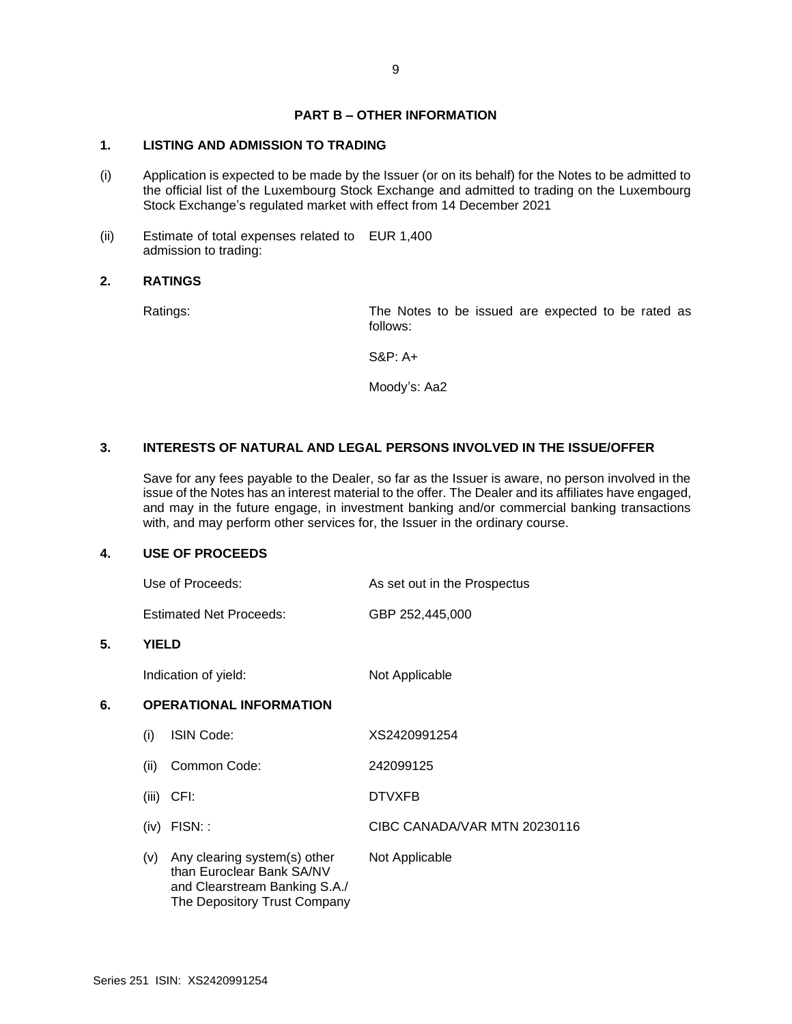# **PART B – OTHER INFORMATION**

# **1. LISTING AND ADMISSION TO TRADING**

- (i) Application is expected to be made by the Issuer (or on its behalf) for the Notes to be admitted to the official list of the Luxembourg Stock Exchange and admitted to trading on the Luxembourg Stock Exchange's regulated market with effect from 14 December 2021
- (ii) Estimate of total expenses related to EUR 1,400 admission to trading:

### **2. RATINGS**

Ratings: The Notes to be issued are expected to be rated as follows:

S&P: A+

Moody's: Aa2

# **3. INTERESTS OF NATURAL AND LEGAL PERSONS INVOLVED IN THE ISSUE/OFFER**

Save for any fees payable to the Dealer, so far as the Issuer is aware, no person involved in the issue of the Notes has an interest material to the offer. The Dealer and its affiliates have engaged, and may in the future engage, in investment banking and/or commercial banking transactions with, and may perform other services for, the Issuer in the ordinary course.

### **4. USE OF PROCEEDS**

| Use of Proceeds: | As set out in the Prospectus |
|------------------|------------------------------|
|                  |                              |

Estimated Net Proceeds: GBP 252,445,000

### **5. YIELD**

Indication of yield: Not Applicable

# **6. OPERATIONAL INFORMATION**

| (i)   | <b>ISIN Code:</b>                                                                                                          | XS2420991254                 |
|-------|----------------------------------------------------------------------------------------------------------------------------|------------------------------|
| (ii)  | Common Code:                                                                                                               | 242099125                    |
| (iii) | CFI:                                                                                                                       | <b>DTVXFB</b>                |
| (iv)  | FISN::                                                                                                                     | CIBC CANADA/VAR MTN 20230116 |
| (v)   | Any clearing system(s) other<br>than Euroclear Bank SA/NV<br>and Clearstream Banking S.A./<br>The Depository Trust Company | Not Applicable               |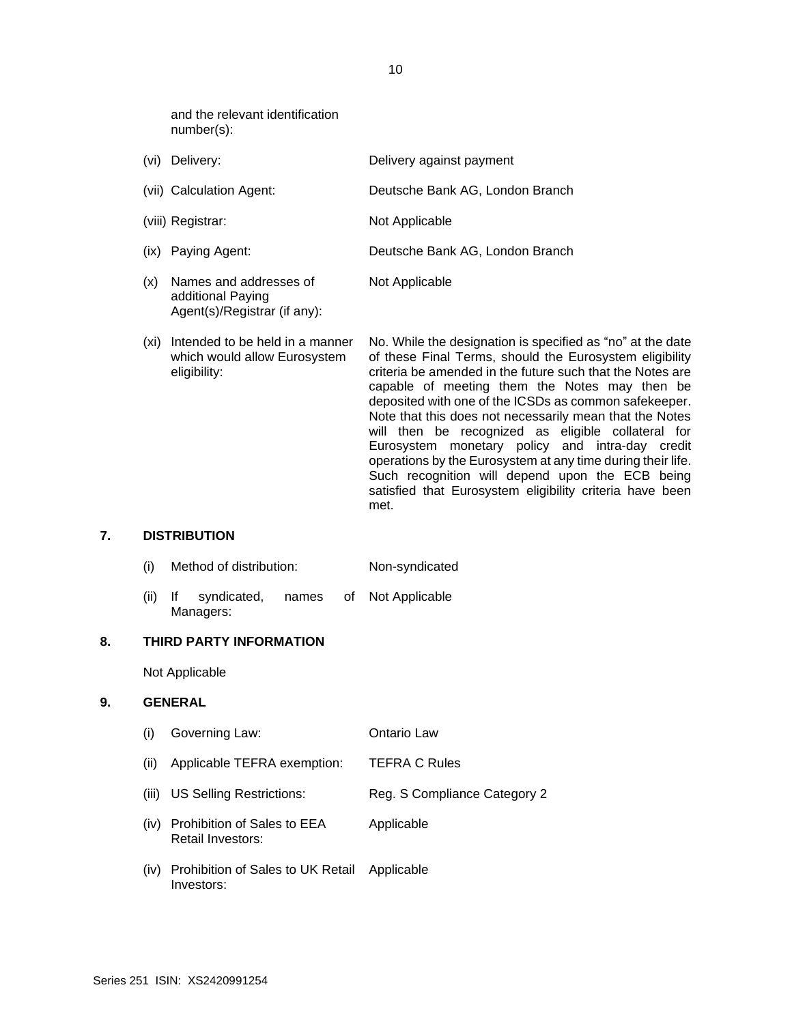and the relevant identification number(s):

Agent(s)/Registrar (if any):

| (vi) | Delivery:                                   | Delivery against payment        |
|------|---------------------------------------------|---------------------------------|
|      | (vii) Calculation Agent:                    | Deutsche Bank AG, London Branch |
|      | (viii) Registrar:                           | Not Applicable                  |
|      | (ix) Paying Agent:                          | Deutsche Bank AG, London Branch |
| (x)  | Names and addresses of<br>additional Paying | Not Applicable                  |

(xi) Intended to be held in a manner which would allow Eurosystem eligibility: No. While the designation is specified as "no" at the date of these Final Terms, should the Eurosystem eligibility criteria be amended in the future such that the Notes are capable of meeting them the Notes may then be deposited with one of the ICSDs as common safekeeper. Note that this does not necessarily mean that the Notes will then be recognized as eligible collateral for Eurosystem monetary policy and intra-day credit operations by the Eurosystem at any time during their life. Such recognition will depend upon the ECB being satisfied that Eurosystem eligibility criteria have been met.

#### **7. DISTRIBUTION**

- (i) Method of distribution: Non-syndicated
- (ii) If syndicated, names of Managers: Not Applicable

#### **8. THIRD PARTY INFORMATION**

Not Applicable

#### **9. GENERAL**

(i) Governing Law: Ontario Law (ii) Applicable TEFRA exemption: TEFRA C Rules (iii) US Selling Restrictions: Reg. S Compliance Category 2 (iv) Prohibition of Sales to EEA Retail Investors: Applicable (iv) Prohibition of Sales to UK Retail Investors: Applicable